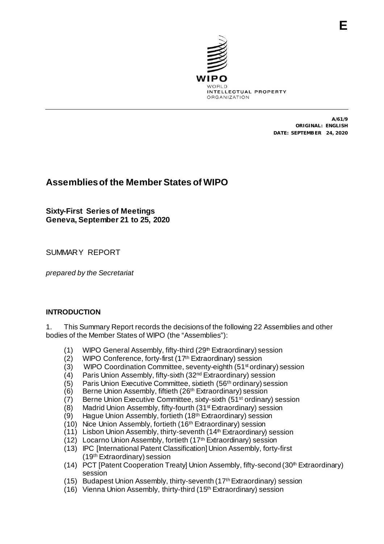

A/61/9 ORIGINAL: ENGLISH DATE: SEPTEMBER 24, 2020

# **Assembliesof the Member States of WIPO**

**Sixty-First Series of Meetings Geneva, September 21 to 25, 2020**

SUMMARY REPORT

*prepared by the Secretariat*

#### **INTRODUCTION**

1. This Summary Report records the decisions of the following 22 Assemblies and other bodies of the Member States of WIPO (the "Assemblies"):

- (1) WIPO General Assembly, fifty-third (29<sup>th</sup> Extraordinary) session
- (2) WIPO Conference, forty-first (17th Extraordinary) session
- (3) WIPO Coordination Committee, seventy-eighth (51<sup>st</sup> ordinary) session
- (4) Paris Union Assembly, fifty-sixth (32<sup>nd</sup> Extraordinary) session (5) Paris Union Executive Committee, sixtieth (56<sup>th</sup> ordinary) sess
- (5) Paris Union Executive Committee, sixtieth (56<sup>th</sup> ordinary) session (6) Berne Union Assembly, fiftieth (26<sup>th</sup> Extraordinary) session
- Berne Union Assembly, fiftieth (26<sup>th</sup> Extraordinary) session
- (7) Berne Union Executive Committee, sixty-sixth (51st ordinary) session
- (8) Madrid Union Assembly, fifty-fourth (31st Extraordinary) session
- (9) Hague Union Assembly, fortieth (18th Extraordinary) session
- (10) Nice Union Assembly, fortieth (16th Extraordinary) session
- $(11)$  Lisbon Union Assembly, thirty-seventh  $(14<sup>th</sup> Extraordinary)$  session
- (12) Locarno Union Assembly, fortieth (17th Extraordinary) session
- (13) IPC [International Patent Classification] Union Assembly, forty-first (19th Extraordinary) session
- (14) PCT [Patent Cooperation Treaty] Union Assembly, fifty-second (30<sup>th</sup> Extraordinary) session
- (15) Budapest Union Assembly, thirty-seventh (17thExtraordinary) session
- (16) Vienna Union Assembly, thirty-third (15th Extraordinary) session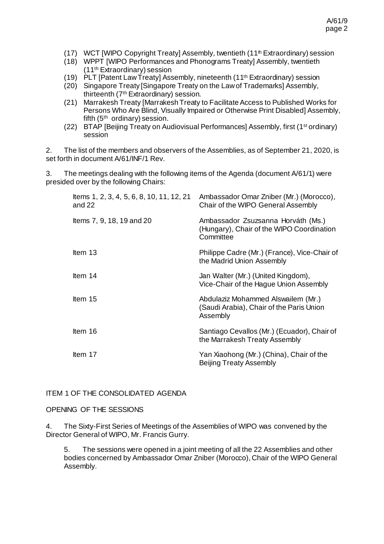- (17) WCT [WIPO Copyright Treaty] Assembly, twentieth (11<sup>th</sup> Extraordinary) session
- (18) WPPT [WIPO Performances and Phonograms Treaty] Assembly, twentieth (11th Extraordinary) session
- (19)  $\dot{P}$ LT IPatent Law Treatyl Assembly, nineteenth (11<sup>th</sup> Extraordinary) session
- (20) Singapore Treaty [Singapore Treaty on the Law of Trademarks] Assembly, thirteenth (7th Extraordinary) session.
- (21) Marrakesh Treaty [Marrakesh Treaty to Facilitate Access to Published Works for Persons Who Are Blind, Visually Impaired or Otherwise Print Disabled] Assembly, fifth (5th ordinary) session.
- (22) BTAP [Beijing Treaty on Audiovisual Performances] Assembly, first (1st ordinary) session

2. The list of the members and observers of the Assemblies, as of September 21, 2020, is set forth in document A/61/INF/1 Rev.

3. The meetings dealing with the following items of the Agenda (document A/61/1) were presided over by the following Chairs:

| Items 1, 2, 3, 4, 5, 6, 8, 10, 11, 12, 21<br>and 22 | Ambassador Omar Zniber (Mr.) (Morocco),<br>Chair of the WIPO General Assembly                |
|-----------------------------------------------------|----------------------------------------------------------------------------------------------|
| Items 7, 9, 18, 19 and 20                           | Ambassador Zsuzsanna Horváth (Ms.)<br>(Hungary), Chair of the WIPO Coordination<br>Committee |
| Item $13$                                           | Philippe Cadre (Mr.) (France), Vice-Chair of<br>the Madrid Union Assembly                    |
| Item 14                                             | Jan Walter (Mr.) (United Kingdom),<br>Vice-Chair of the Hague Union Assembly                 |
| Item 15                                             | Abdulaziz Mohammed Alswailem (Mr.)<br>(Saudi Arabia), Chair of the Paris Union<br>Assembly   |
| Item 16                                             | Santiago Cevallos (Mr.) (Ecuador), Chair of<br>the Marrakesh Treaty Assembly                 |
| Item 17                                             | Yan Xiaohong (Mr.) (China), Chair of the<br><b>Beijing Treaty Assembly</b>                   |

# ITEM 1 OF THE CONSOLIDATED AGENDA

OPENING OF THE SESSIONS

4. The Sixty-First Series of Meetings of the Assemblies of WIPO was convened by the Director General of WIPO, Mr. Francis Gurry.

5. The sessions were opened in a joint meeting of all the 22 Assemblies and other bodies concerned by Ambassador Omar Zniber (Morocco), Chair of the WIPO General Assembly.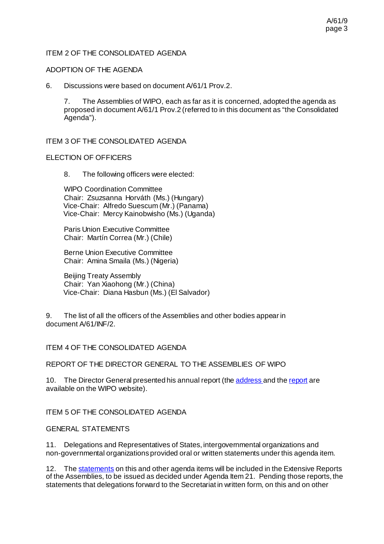# ITEM 2 OF THE CONSOLIDATED AGENDA

#### ADOPTION OF THE AGENDA

6. Discussions were based on document A/61/1 Prov.2.

7. The Assemblies of WIPO, each as far as it is concerned, adopted the agenda as proposed in document A/61/1 Prov.2 (referred to in this document as "the Consolidated Agenda").

ITEM 3 OF THE CONSOLIDATED AGENDA

#### ELECTION OF OFFICERS

8. The following officers were elected:

WIPO Coordination Committee Chair: Zsuzsanna Horváth (Ms.) (Hungary) Vice-Chair: Alfredo Suescum (Mr.) (Panama) Vice-Chair: Mercy Kainobwisho (Ms.) (Uganda)

Paris Union Executive Committee Chair: Martín Correa (Mr.) (Chile)

Berne Union Executive Committee Chair: Amina Smaila (Ms.) (Nigeria)

Beijing Treaty Assembly Chair: Yan Xiaohong (Mr.) (China) Vice-Chair: Diana Hasbun (Ms.) (El Salvador)

9. The list of all the officers of the Assemblies and other bodies appear in document A/61/INF/2.

#### ITEM 4 OF THE CONSOLIDATED AGENDA

REPORT OF THE DIRECTOR GENERAL TO THE ASSEMBLIES OF WIPO

10. The Director General presented his annual report (th[e address](https://www.wipo.int/about-wipo/en/dg_gurry/speeches/a_61_dg_speech.html) and th[e report](https://www.wipo.int/publications/en/details.jsp?id=4517) are available on the WIPO website).

ITEM 5 OF THE CONSOLIDATED AGENDA

#### GENERAL STATEMENTS

11. Delegations and Representatives of States, intergovernmental organizations and non-governmental organizations provided oral or written statements under this agenda item.

12. Th[e statements](https://www.wipo.int/meetings/en/statements.jsp?meeting_id=56286) on this and other agenda items will be included in the Extensive Reports of the Assemblies, to be issued as decided under Agenda Item 21. Pending those reports, the statements that delegations forward to the Secretariat in written form, on this and on other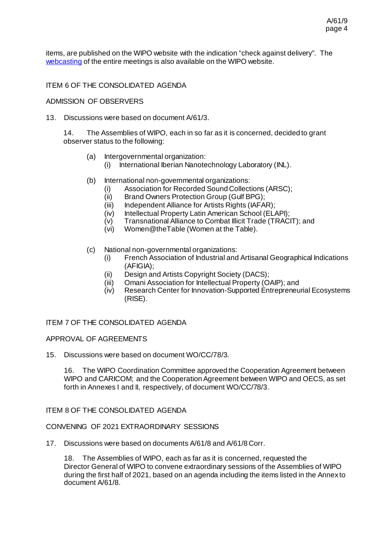A/61/9 page 4

items, are published on the WIPO website with the indication "check against delivery". The [webcasting](https://c.connectedviews.com/05/Search/wipo?search=A%2F61) of the entire meetings is also available on the WIPO website.

# ITEM 6 OF THE CONSOLIDATED AGENDA

### ADMISSION OF OBSERVERS

13. Discussions were based on document A/61/3.

14. The Assemblies of WIPO, each in so far as it is concerned, decided to grant observer status to the following:

- (a) Intergovernmental organization:
	- (i) International Iberian Nanotechnology Laboratory (INL).
- (b) International non-governmental organizations:
	- (i) Association for Recorded Sound Collections (ARSC);<br>(ii) Brand Owners Protection Group (Gulf BPG);
	- (ii) Brand Owners Protection Group (Gulf BPG);<br>(iii) Independent Alliance for Artists Rights (IAFA)
	- Independent Alliance for Artists Rights (IAFAR);
	-
	- (iv) Intellectual Property Latin American School (ELAPI);<br>(v) Transnational Alliance to Combat Illicit Trade (TRACI (v) Transnational Alliance to Combat Illicit Trade (TRACIT); and<br>(vi) Women@theTable (Women at the Table).
	- Women@theTable (Women at the Table).
- (c) National non-governmental organizations:
	- (i) French Association of Industrial and Artisanal Geographical Indications (AFIGIA);
	- (ii) Design and Artists Copyright Society (DACS);
	- (iii) Omani Association for Intellectual Property (OAIP); and<br>(iv) Research Center for Innovation-Supported Entrepreneu
	- Research Center for Innovation-Supported Entrepreneurial Ecosystems (RISE).

ITEM 7 OF THE CONSOLIDATED AGENDA

#### APPROVAL OF AGREEMENTS

15. Discussions were based on document WO/CC/78/3.

16. The WIPO Coordination Committee approved the Cooperation Agreement between WIPO and CARICOM; and the Cooperation Agreement between WIPO and OECS, as set forth in Annexes I and II, respectively, of document WO/CC/78/3.

#### ITEM 8 OF THE CONSOLIDATED AGENDA

### CONVENING OF 2021 EXTRAORDINARY SESSIONS

17. Discussions were based on documents A/61/8 and A/61/8 Corr.

18. The Assemblies of WIPO, each as far as it is concerned, requested the Director General of WIPO to convene extraordinary sessions of the Assemblies of WIPO during the first half of 2021, based on an agenda including the items listed in the Annex to document A/61/8.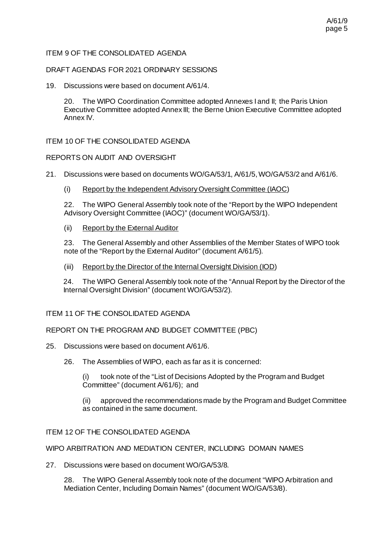# ITEM 9 OF THE CONSOLIDATED AGENDA

DRAFT AGENDAS FOR 2021 ORDINARY SESSIONS

19. Discussions were based on document A/61/4.

20. The WIPO Coordination Committee adopted Annexes I and II; the Paris Union Executive Committee adopted Annex III; the Berne Union Executive Committee adopted Annex IV.

ITEM 10 OF THE CONSOLIDATED AGENDA

# REPORTS ON AUDIT AND OVERSIGHT

- 21. Discussions were based on documents WO/GA/53/1, A/61/5, WO/GA/53/2 and A/61/6.
	- (i) Report by the Independent Advisory Oversight Committee (IAOC)

22. The WIPO General Assembly took note of the "Report by the WIPO Independent Advisory Oversight Committee (IAOC)" (document WO/GA/53/1).

(ii) Report by the External Auditor

23. The General Assembly and other Assemblies of the Member States of WIPO took note of the "Report by the External Auditor" (document A/61/5).

(iii) Report by the Director of the Internal Oversight Division (IOD)

24. The WIPO General Assembly took note of the "Annual Report by the Director of the Internal Oversight Division" (document WO/GA/53/2).

#### ITEM 11 OF THE CONSOLIDATED AGENDA

#### REPORT ON THE PROGRAM AND BUDGET COMMITTEE (PBC)

- 25. Discussions were based on document A/61/6.
	- 26. The Assemblies of WIPO, each as far as it is concerned:

(i) took note of the "List of Decisions Adopted by the Program and Budget Committee" (document A/61/6); and

(ii) approved the recommendations made by the Program and Budget Committee as contained in the same document.

#### ITEM 12 OF THE CONSOLIDATED AGENDA

WIPO ARBITRATION AND MEDIATION CENTER, INCLUDING DOMAIN NAMES

27. Discussions were based on document WO/GA/53/8.

28. The WIPO General Assembly took note of the document "WIPO Arbitration and Mediation Center, Including Domain Names" (document WO/GA/53/8).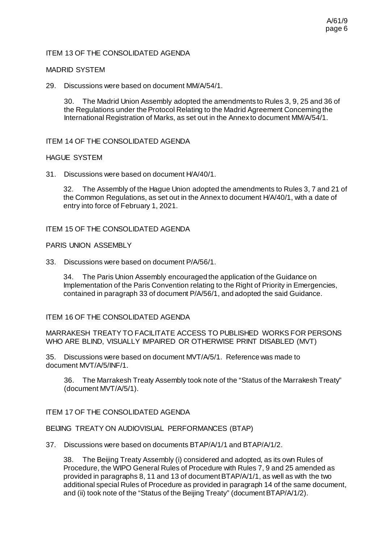### ITEM 13 OF THE CONSOLIDATED AGENDA

#### MADRID SYSTEM

29. Discussions were based on document MM/A/54/1.

30. The Madrid Union Assembly adopted the amendments to Rules 3, 9, 25 and 36 of the Regulations under the Protocol Relating to the Madrid Agreement Concerning the International Registration of Marks, as set out in the Annex to document MM/A/54/1.

ITEM 14 OF THE CONSOLIDATED AGENDA

#### HAGUE SYSTEM

31. Discussions were based on document H/A/40/1.

32. The Assembly of the Hague Union adopted the amendments to Rules 3, 7 and 21 of the Common Regulations, as set out in the Annex to document H/A/40/1, with a date of entry into force of February 1, 2021.

#### ITEM 15 OF THE CONSOLIDATED AGENDA

PARIS UNION ASSEMBLY

33. Discussions were based on document P/A/56/1.

34. The Paris Union Assembly encouraged the application of the Guidance on Implementation of the Paris Convention relating to the Right of Priority in Emergencies, contained in paragraph 33 of document P/A/56/1, and adopted the said Guidance.

#### ITEM 16 OF THE CONSOLIDATED AGENDA

MARRAKESH TREATY TO FACILITATE ACCESS TO PUBLISHED WORKS FOR PERSONS WHO ARE BLIND, VISUALLY IMPAIRED OR OTHERWISE PRINT DISABLED (MVT)

35. Discussions were based on document MVT/A/5/1. Reference was made to document MVT/A/5/INF/1.

36. The Marrakesh Treaty Assembly took note of the "Status of the Marrakesh Treaty" (document MVT/A/5/1).

#### ITEM 17 OF THE CONSOLIDATED AGENDA

#### BEIJING TREATY ON AUDIOVISUAL PERFORMANCES (BTAP)

37. Discussions were based on documents BTAP/A/1/1 and BTAP/A/1/2.

38. The Beijing Treaty Assembly (i) considered and adopted, as its own Rules of Procedure, the WIPO General Rules of Procedure with Rules 7, 9 and 25 amended as provided in paragraphs 8, 11 and 13 of documentBTAP/A/1/1, as well as with the two additional special Rules of Procedure as provided in paragraph 14 of the same document, and (ii) took note of the "Status of the Beijing Treaty" (document BTAP/A/1/2).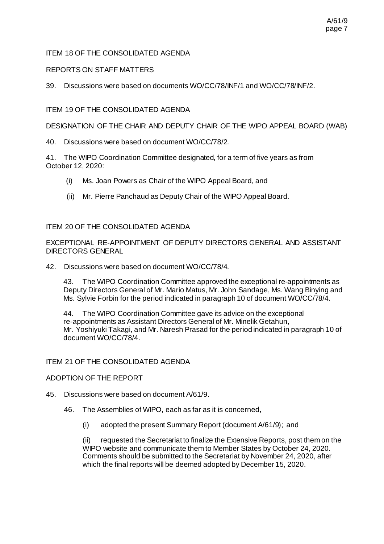# ITEM 18 OF THE CONSOLIDATED AGENDA

### REPORTS ON STAFF MATTERS

39. Discussions were based on documents WO/CC/78/INF/1 and WO/CC/78/INF/2.

# ITEM 19 OF THE CONSOLIDATED AGENDA

DESIGNATION OF THE CHAIR AND DEPUTY CHAIR OF THE WIPO APPEAL BOARD (WAB)

40. Discussions were based on document WO/CC/78/2.

41. The WIPO Coordination Committee designated, for a term of five years as from October 12, 2020:

- (i) Ms. Joan Powers as Chair of the WIPO Appeal Board, and
- (ii) Mr. Pierre Panchaud as Deputy Chair of the WIPO Appeal Board.

#### ITEM 20 OF THE CONSOLIDATED AGENDA

EXCEPTIONAL RE-APPOINTMENT OF DEPUTY DIRECTORS GENERAL AND ASSISTANT DIRECTORS GENERAL

42. Discussions were based on document WO/CC/78/4.

43. The WIPO Coordination Committee approved the exceptional re-appointments as Deputy Directors General of Mr. Mario Matus, Mr. John Sandage, Ms. Wang Binying and Ms. Sylvie Forbin for the period indicated in paragraph 10 of document WO/CC/78/4.

44. The WIPO Coordination Committee gave its advice on the exceptional re-appointments as Assistant Directors General of Mr. Minelik Getahun, Mr. Yoshiyuki Takagi, and Mr. Naresh Prasad for the period indicated in paragraph 10 of document WO/CC/78/4.

#### ITEM 21 OF THE CONSOLIDATED AGENDA

#### ADOPTION OF THE REPORT

- 45. Discussions were based on document A/61/9.
	- 46. The Assemblies of WIPO, each as far as it is concerned,
		- (i) adopted the present Summary Report (document A/61/9); and

(ii) requested the Secretariat to finalize the Extensive Reports, post them on the WIPO website and communicate them to Member States by October 24, 2020. Comments should be submitted to the Secretariat by November 24, 2020, after which the final reports will be deemed adopted by December 15, 2020.